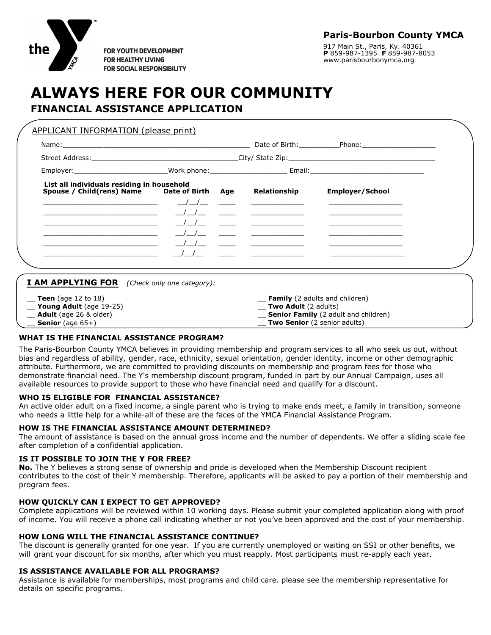

**FOR YOUTH DEVELOPMENT FOR HEALTHY LIVING FOR SOCIAL RESPONSIBILITY**  **Paris-Bourbon County YMCA**

917 Main St., Paris, Ky. 40361 **P** 859-987-1395 **F** 859-987-8053 www.parisbourbonymca.org

# **ALWAYS HERE FOR OUR COMMUNITY FINANCIAL ASSISTANCE APPLICATION**

| List all individuals residing in household<br>Spouse / Child(rens) Name Date of Birth Age                                                                                                                                                                                                     |  |  | Relationship               | <b>Employer/School</b>                                  |  |  |  |
|-----------------------------------------------------------------------------------------------------------------------------------------------------------------------------------------------------------------------------------------------------------------------------------------------|--|--|----------------------------|---------------------------------------------------------|--|--|--|
| $\frac{1}{2}$ and $\frac{1}{2}$ and $\frac{1}{2}$ and $\frac{1}{2}$ and $\frac{1}{2}$ and $\frac{1}{2}$ and $\frac{1}{2}$ and $\frac{1}{2}$ and $\frac{1}{2}$ and $\frac{1}{2}$ and $\frac{1}{2}$ and $\frac{1}{2}$ and $\frac{1}{2}$ and $\frac{1}{2}$ and $\frac{1}{2}$ and $\frac{1}{2}$ a |  |  |                            |                                                         |  |  |  |
| <u> 1989 - Johann Barbara, martin da basar da shekarar 1989 - An tsaran a shekarar 1989 - An tsara tsara 1989 - </u>                                                                                                                                                                          |  |  | / <u>/ _</u> _ _ _ _ _ _ _ |                                                         |  |  |  |
|                                                                                                                                                                                                                                                                                               |  |  |                            |                                                         |  |  |  |
|                                                                                                                                                                                                                                                                                               |  |  |                            | <u> The Communication of the Communication</u>          |  |  |  |
|                                                                                                                                                                                                                                                                                               |  |  |                            |                                                         |  |  |  |
|                                                                                                                                                                                                                                                                                               |  |  |                            | <u> 1980 - Jan Barbara, masonar a shekara 1980 - An</u> |  |  |  |
|                                                                                                                                                                                                                                                                                               |  |  |                            |                                                         |  |  |  |
|                                                                                                                                                                                                                                                                                               |  |  |                            |                                                         |  |  |  |

**Senior Family** (2 adult and children) **Two Senior** (2 senior adults)

## **WHAT IS THE FINANCIAL ASSISTANCE PROGRAM?**

Adult (age 26 & older) **Senior** (age 65+)

The Paris-Bourbon County YMCA believes in providing membership and program services to all who seek us out, without bias and regardless of ability, gender, race, ethnicity, sexual orientation, gender identity, income or other demographic attribute. Furthermore, we are committed to providing discounts on membership and program fees for those who demonstrate financial need. The Y's membership discount program, funded in part by our Annual Campaign, uses all available resources to provide support to those who have financial need and qualify for a discount.

## **WHO IS ELIGIBLE FOR FINANCIAL ASSISTANCE?**

An active older adult on a fixed income, a single parent who is trying to make ends meet, a family in transition, someone who needs a little help for a while-all of these are the faces of the YMCA Financial Assistance Program.

#### **HOW IS THE FINANCIAL ASSISTANCE AMOUNT DETERMINED?**

The amount of assistance is based on the annual gross income and the number of dependents. We offer a sliding scale fee after completion of a confidential application.

#### **IS IT POSSIBLE TO JOIN THE Y FOR FREE?**

**No.** The Y believes a strong sense of ownership and pride is developed when the Membership Discount recipient contributes to the cost of their Y membership. Therefore, applicants will be asked to pay a portion of their membership and program fees.

#### **HOW QUICKLY CAN I EXPECT TO GET APPROVED?**

Complete applications will be reviewed within 10 working days. Please submit your completed application along with proof of income. You will receive a phone call indicating whether or not you've been approved and the cost of your membership.

#### **HOW LONG WILL THE FINANCIAL ASSISTANCE CONTINUE?**

The discount is generally granted for one year. If you are currently unemployed or waiting on SSI or other benefits, we will grant your discount for six months, after which you must reapply. Most participants must re-apply each year.

#### **IS ASSISTANCE AVAILABLE FOR ALL PROGRAMS?**

Assistance is available for memberships, most programs and child care. please see the membership representative for details on specific programs.